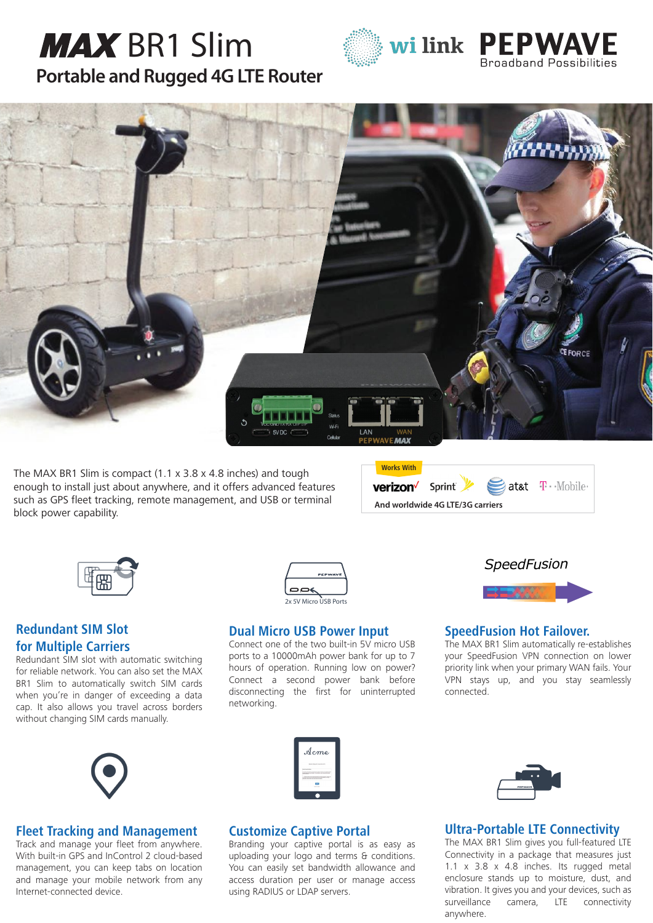# **[Portable and Rugged 4G LTE Router](http://wilink.pl/) MAX** BR1 Slim







The MAX BR1 Slim is compact (1.1 x 3.8 x 4.8 inches) and tough enough to install just about anywhere, and it offers advanced features such as GPS fleet tracking, remote management, and USB or terminal block power capability.





# **Redundant SIM Slot for Multiple Carriers**

Redundant SIM slot with automatic switching for reliable network. You can also set the MAX BR1 Slim to automatically switch SIM cards when you're in danger of exceeding a data cap. It also allows you travel across borders without changing SIM cards manually.



### **Dual Micro USB Power Input**

Connect one of the two built-in 5V micro USB ports to a 10000mAh power bank for up to 7 hours of operation. Running low on power? Connect a second power bank before disconnecting the first for uninterrupted networking.



### **SpeedFusion Hot Failover.**

The MAX BR1 Slim automatically re-establishes your SpeedFusion VPN connection on lower priority link when your primary WAN fails. Your VPN stays up, and you stay seamlessly connected.



## **Fleet Tracking and Management**

Track and manage your fleet from anywhere. With built-in GPS and InControl 2 cloud-based management, you can keep tabs on location and manage your mobile network from any Internet-connected device.

|      | Acme                                                                                                                                                                                                                                                                                                                                                                                                 |
|------|------------------------------------------------------------------------------------------------------------------------------------------------------------------------------------------------------------------------------------------------------------------------------------------------------------------------------------------------------------------------------------------------------|
|      | between him bill and so the link                                                                                                                                                                                                                                                                                                                                                                     |
| ---- | <b>CARD AT A CARD CARD AND A CARD CARD CARD CARD FOR</b>                                                                                                                                                                                                                                                                                                                                             |
| ---- | www.box.box.com/color=1.en/color=at-in                                                                                                                                                                                                                                                                                                                                                               |
|      | 1. In the two stars for any company in the state and the parties<br><b><i>NAME OF OCCUPANT OR OTHER DESIGNATIONS AND RESIDENCE ASSESSED.</i></b><br><b><i><u>ANGLES CARD COMMUNISTIC COMMUNIST COMMUNIST COMMUNIST COMMUNIST COMMUNIST COMMUNIST COMMUNIST COMMUNIST COMMUNIST COMMUNIST COMMUNIST COMMUNIST COMMUNIST COMMUNIST COMMUNIST COMMUNIST COMMUNIST COMMUNIST COMMUNIST COMMU</u></i></b> |
|      |                                                                                                                                                                                                                                                                                                                                                                                                      |
|      | <b><i>BARRASS</i></b>                                                                                                                                                                                                                                                                                                                                                                                |

### **Customize Captive Portal**

Branding your captive portal is as easy as uploading your logo and terms & conditions. You can easily set bandwidth allowance and access duration per user or manage access using RADIUS or LDAP servers.



# **Ultra-Portable LTE Connectivity**

The MAX BR1 Slim gives you full-featured LTE Connectivity in a package that measures just 1.1 x 3.8 x 4.8 inches. Its rugged metal enclosure stands up to moisture, dust, and vibration. It gives you and your devices, such as surveillance camera, LTE connectivity anywhere.